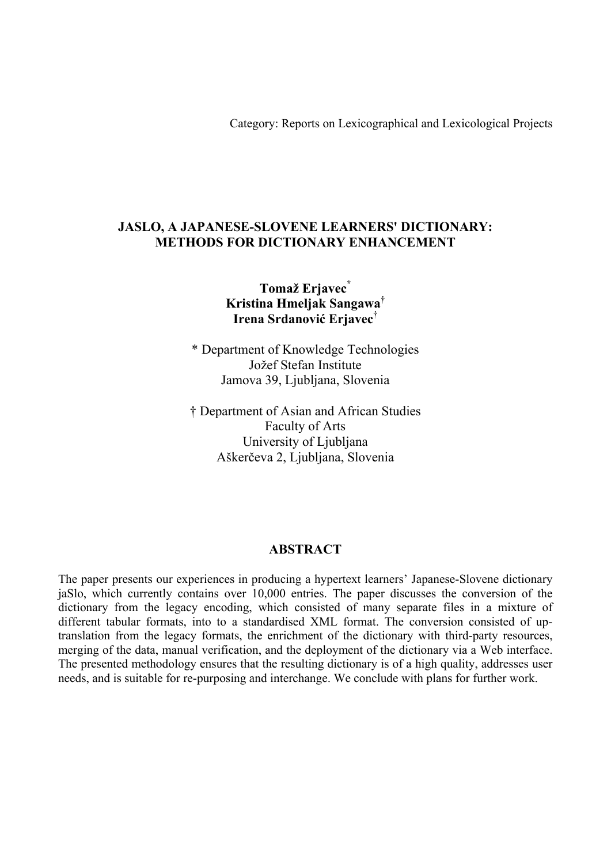Category: Reports on Lexicographical and Lexicological Projects

## **JASLO, A JAPANESE-SLOVENE LEARNERS' DICTIONARY: METHODS FOR DICTIONARY ENHANCEMENT**

# **Tomaž Erjavec\* Kristina Hmeljak Sangawa† Irena Srdanović Erjavec†**

\* Department of Knowledge Technologies Jožef Stefan Institute Jamova 39, Ljubljana, Slovenia

† Department of Asian and African Studies Faculty of Arts University of Ljubljana Aškerčeva 2, Ljubljana, Slovenia

### **ABSTRACT**

The paper presents our experiences in producing a hypertext learners' Japanese-Slovene dictionary jaSlo, which currently contains over 10,000 entries. The paper discusses the conversion of the dictionary from the legacy encoding, which consisted of many separate files in a mixture of different tabular formats, into to a standardised XML format. The conversion consisted of uptranslation from the legacy formats, the enrichment of the dictionary with third-party resources, merging of the data, manual verification, and the deployment of the dictionary via a Web interface. The presented methodology ensures that the resulting dictionary is of a high quality, addresses user needs, and is suitable for re-purposing and interchange. We conclude with plans for further work.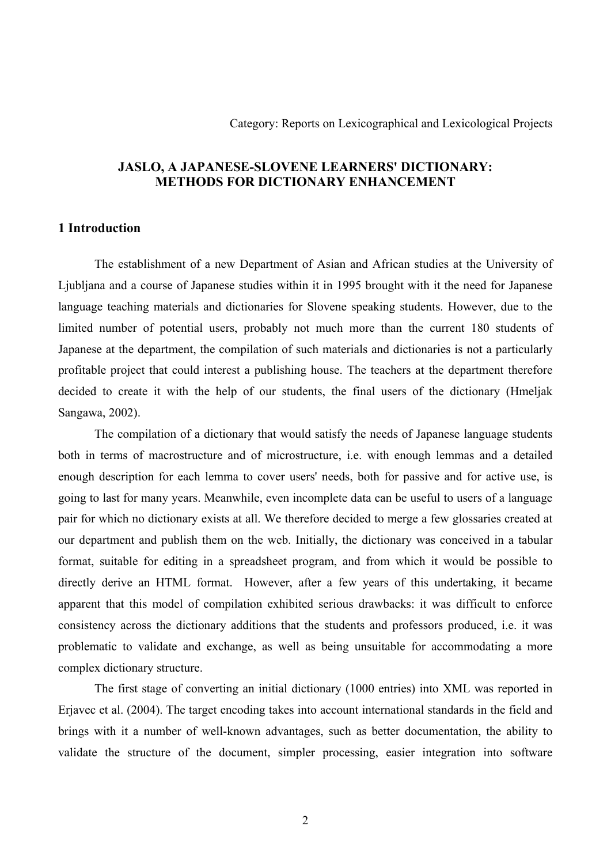## **JASLO, A JAPANESE-SLOVENE LEARNERS' DICTIONARY: METHODS FOR DICTIONARY ENHANCEMENT**

### **1 Introduction**

The establishment of a new Department of Asian and African studies at the University of Ljubljana and a course of Japanese studies within it in 1995 brought with it the need for Japanese language teaching materials and dictionaries for Slovene speaking students. However, due to the limited number of potential users, probably not much more than the current 180 students of Japanese at the department, the compilation of such materials and dictionaries is not a particularly profitable project that could interest a publishing house. The teachers at the department therefore decided to create it with the help of our students, the final users of the dictionary (Hmeljak Sangawa, 2002).

The compilation of a dictionary that would satisfy the needs of Japanese language students both in terms of macrostructure and of microstructure, i.e. with enough lemmas and a detailed enough description for each lemma to cover users' needs, both for passive and for active use, is going to last for many years. Meanwhile, even incomplete data can be useful to users of a language pair for which no dictionary exists at all. We therefore decided to merge a few glossaries created at our department and publish them on the web. Initially, the dictionary was conceived in a tabular format, suitable for editing in a spreadsheet program, and from which it would be possible to directly derive an HTML format. However, after a few years of this undertaking, it became apparent that this model of compilation exhibited serious drawbacks: it was difficult to enforce consistency across the dictionary additions that the students and professors produced, i.e. it was problematic to validate and exchange, as well as being unsuitable for accommodating a more complex dictionary structure.

The first stage of converting an initial dictionary (1000 entries) into XML was reported in Erjavec et al. (2004). The target encoding takes into account international standards in the field and brings with it a number of well-known advantages, such as better documentation, the ability to validate the structure of the document, simpler processing, easier integration into software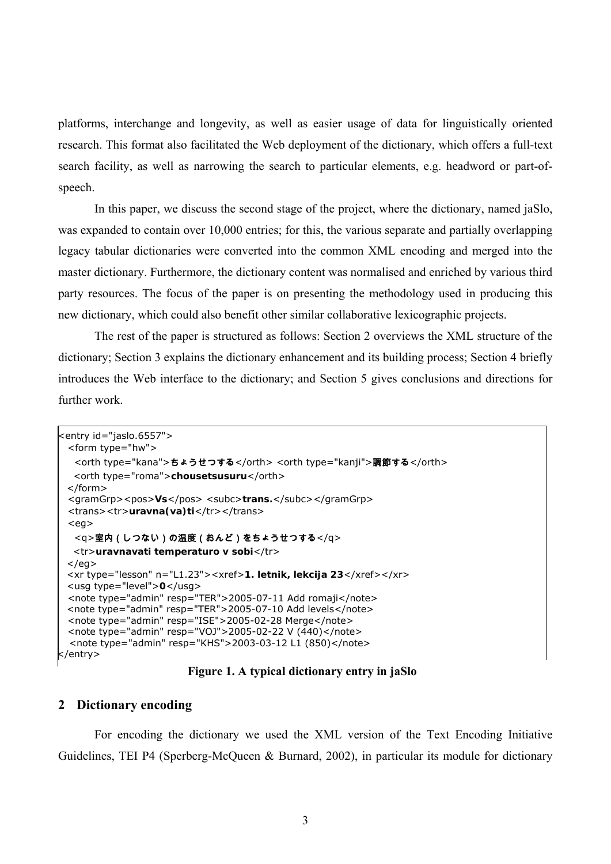platforms, interchange and longevity, as well as easier usage of data for linguistically oriented research. This format also facilitated the Web deployment of the dictionary, which offers a full-text search facility, as well as narrowing the search to particular elements, e.g. headword or part-ofspeech.

In this paper, we discuss the second stage of the project, where the dictionary, named jaSlo, was expanded to contain over 10,000 entries; for this, the various separate and partially overlapping legacy tabular dictionaries were converted into the common XML encoding and merged into the master dictionary. Furthermore, the dictionary content was normalised and enriched by various third party resources. The focus of the paper is on presenting the methodology used in producing this new dictionary, which could also benefit other similar collaborative lexicographic projects.

The rest of the paper is structured as follows: Section 2 overviews the XML structure of the dictionary; Section 3 explains the dictionary enhancement and its building process; Section 4 briefly introduces the Web interface to the dictionary; and Section 5 gives conclusions and directions for further work.

```
<entry id="jaslo.6557"> 
  <form type="hw"> 
   <orth type="kana">ちょうせつする</orth> <orth type="kanji">調節する</orth>
   <orth type="roma">chousetsusuru</orth> 
  </form> 
 <gramGrp><pos>Vs</pos> <subc>trans.</subc></gramGrp>
 <trans><tr>uravna(va)ti</tr></trans>
 <eg> <q>室内(しつない)の温度(おんど)をちょうせつする</q> 
   <tr>uravnavati temperaturo v sobi</tr> 
 </eg> <xr type="lesson" n="L1.23"><xref>1. letnik, lekcija 23</xref></xr> 
  <usg type="level">0</usg> 
  <note type="admin" resp="TER">2005-07-11 Add romaji</note> 
  <note type="admin" resp="TER">2005-07-10 Add levels</note> 
  <note type="admin" resp="ISE">2005-02-28 Merge</note> 
  <note type="admin" resp="VOJ">2005-02-22 V (440)</note> 
  <note type="admin" resp="KHS">2003-03-12 L1 (850)</note> 
</entry>
```
### **Figure 1. A typical dictionary entry in jaSlo**

### **2 Dictionary encoding**

For encoding the dictionary we used the XML version of the Text Encoding Initiative Guidelines, TEI P4 (Sperberg-McQueen & Burnard, 2002), in particular its module for dictionary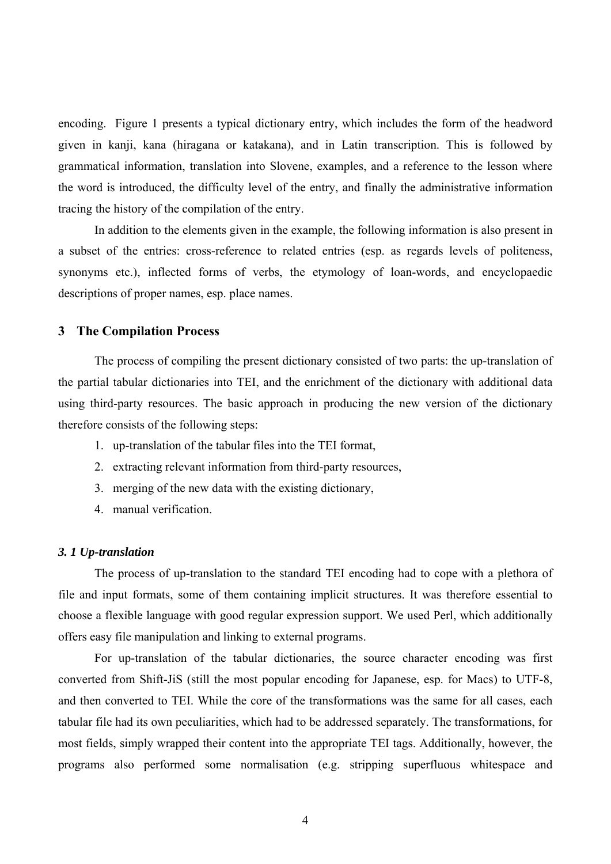encoding. Figure 1 presents a typical dictionary entry, which includes the form of the headword given in kanji, kana (hiragana or katakana), and in Latin transcription. This is followed by grammatical information, translation into Slovene, examples, and a reference to the lesson where the word is introduced, the difficulty level of the entry, and finally the administrative information tracing the history of the compilation of the entry.

In addition to the elements given in the example, the following information is also present in a subset of the entries: cross-reference to related entries (esp. as regards levels of politeness, synonyms etc.), inflected forms of verbs, the etymology of loan-words, and encyclopaedic descriptions of proper names, esp. place names.

### **3 The Compilation Process**

The process of compiling the present dictionary consisted of two parts: the up-translation of the partial tabular dictionaries into TEI, and the enrichment of the dictionary with additional data using third-party resources. The basic approach in producing the new version of the dictionary therefore consists of the following steps:

- 1. up-translation of the tabular files into the TEI format,
- 2. extracting relevant information from third-party resources,
- 3. merging of the new data with the existing dictionary,
- 4. manual verification.

#### *3. 1 Up-translation*

The process of up-translation to the standard TEI encoding had to cope with a plethora of file and input formats, some of them containing implicit structures. It was therefore essential to choose a flexible language with good regular expression support. We used Perl, which additionally offers easy file manipulation and linking to external programs.

For up-translation of the tabular dictionaries, the source character encoding was first converted from Shift-JiS (still the most popular encoding for Japanese, esp. for Macs) to UTF-8, and then converted to TEI. While the core of the transformations was the same for all cases, each tabular file had its own peculiarities, which had to be addressed separately. The transformations, for most fields, simply wrapped their content into the appropriate TEI tags. Additionally, however, the programs also performed some normalisation (e.g. stripping superfluous whitespace and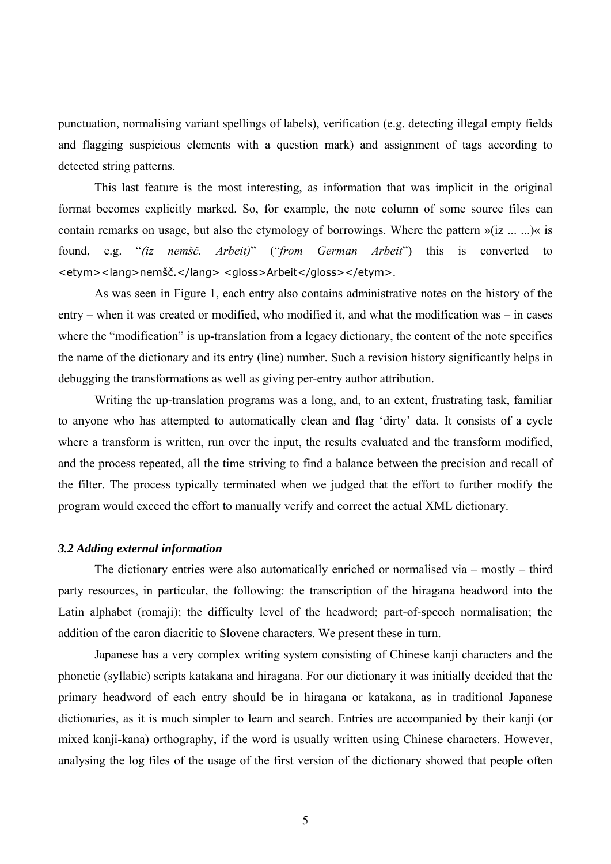punctuation, normalising variant spellings of labels), verification (e.g. detecting illegal empty fields and flagging suspicious elements with a question mark) and assignment of tags according to detected string patterns.

This last feature is the most interesting, as information that was implicit in the original format becomes explicitly marked. So, for example, the note column of some source files can contain remarks on usage, but also the etymology of borrowings. Where the pattern »(iz ... ...)« is found, e.g. "*(iz nemšč. Arbeit)*" ("*from German Arbeit*") this is converted to <etym><lang>nemšč.</lang> <gloss>Arbeit</gloss></etym>.

As was seen in Figure 1, each entry also contains administrative notes on the history of the entry – when it was created or modified, who modified it, and what the modification was – in cases where the "modification" is up-translation from a legacy dictionary, the content of the note specifies the name of the dictionary and its entry (line) number. Such a revision history significantly helps in debugging the transformations as well as giving per-entry author attribution.

Writing the up-translation programs was a long, and, to an extent, frustrating task, familiar to anyone who has attempted to automatically clean and flag 'dirty' data. It consists of a cycle where a transform is written, run over the input, the results evaluated and the transform modified, and the process repeated, all the time striving to find a balance between the precision and recall of the filter. The process typically terminated when we judged that the effort to further modify the program would exceed the effort to manually verify and correct the actual XML dictionary.

#### *3.2 Adding external information*

The dictionary entries were also automatically enriched or normalised via – mostly – third party resources, in particular, the following: the transcription of the hiragana headword into the Latin alphabet (romaji); the difficulty level of the headword; part-of-speech normalisation; the addition of the caron diacritic to Slovene characters. We present these in turn.

Japanese has a very complex writing system consisting of Chinese kanji characters and the phonetic (syllabic) scripts katakana and hiragana. For our dictionary it was initially decided that the primary headword of each entry should be in hiragana or katakana, as in traditional Japanese dictionaries, as it is much simpler to learn and search. Entries are accompanied by their kanji (or mixed kanji-kana) orthography, if the word is usually written using Chinese characters. However, analysing the log files of the usage of the first version of the dictionary showed that people often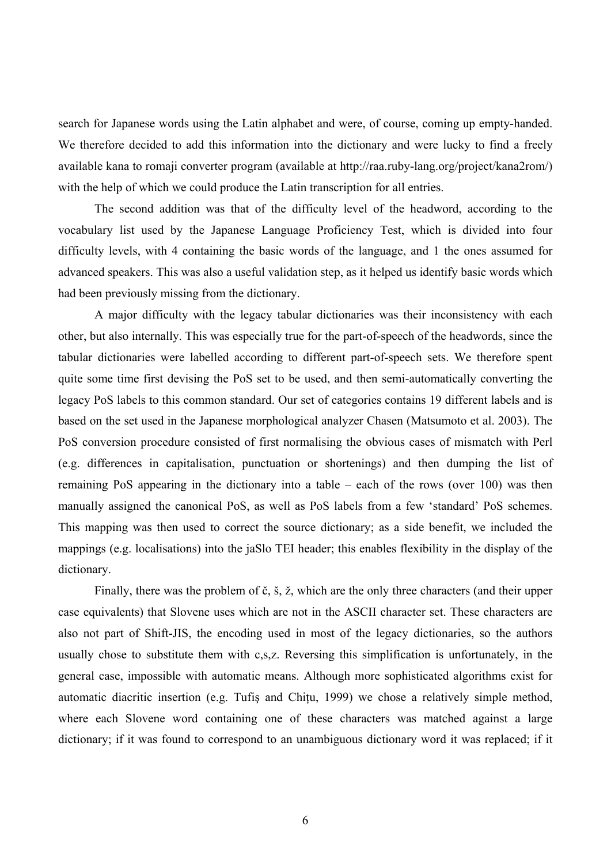search for Japanese words using the Latin alphabet and were, of course, coming up empty-handed. We therefore decided to add this information into the dictionary and were lucky to find a freely available kana to romaji converter program (available at http://raa.ruby-lang.org/project/kana2rom/) with the help of which we could produce the Latin transcription for all entries.

The second addition was that of the difficulty level of the headword, according to the vocabulary list used by the Japanese Language Proficiency Test, which is divided into four difficulty levels, with 4 containing the basic words of the language, and 1 the ones assumed for advanced speakers. This was also a useful validation step, as it helped us identify basic words which had been previously missing from the dictionary.

A major difficulty with the legacy tabular dictionaries was their inconsistency with each other, but also internally. This was especially true for the part-of-speech of the headwords, since the tabular dictionaries were labelled according to different part-of-speech sets. We therefore spent quite some time first devising the PoS set to be used, and then semi-automatically converting the legacy PoS labels to this common standard. Our set of categories contains 19 different labels and is based on the set used in the Japanese morphological analyzer Chasen (Matsumoto et al. 2003). The PoS conversion procedure consisted of first normalising the obvious cases of mismatch with Perl (e.g. differences in capitalisation, punctuation or shortenings) and then dumping the list of remaining PoS appearing in the dictionary into a table – each of the rows (over 100) was then manually assigned the canonical PoS, as well as PoS labels from a few 'standard' PoS schemes. This mapping was then used to correct the source dictionary; as a side benefit, we included the mappings (e.g. localisations) into the jaSlo TEI header; this enables flexibility in the display of the dictionary.

Finally, there was the problem of č, š, ž, which are the only three characters (and their upper case equivalents) that Slovene uses which are not in the ASCII character set. These characters are also not part of Shift-JIS, the encoding used in most of the legacy dictionaries, so the authors usually chose to substitute them with c,s,z. Reversing this simplification is unfortunately, in the general case, impossible with automatic means. Although more sophisticated algorithms exist for automatic diacritic insertion (e.g. Tufis and Chitu, 1999) we chose a relatively simple method, where each Slovene word containing one of these characters was matched against a large dictionary; if it was found to correspond to an unambiguous dictionary word it was replaced; if it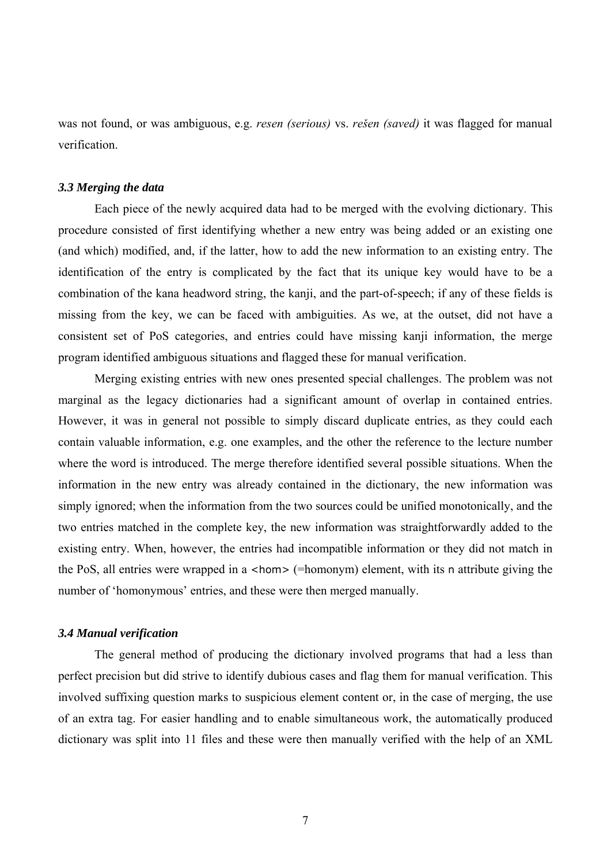was not found, or was ambiguous, e.g. *resen (serious)* vs. *rešen (saved)* it was flagged for manual verification.

#### *3.3 Merging the data*

Each piece of the newly acquired data had to be merged with the evolving dictionary. This procedure consisted of first identifying whether a new entry was being added or an existing one (and which) modified, and, if the latter, how to add the new information to an existing entry. The identification of the entry is complicated by the fact that its unique key would have to be a combination of the kana headword string, the kanji, and the part-of-speech; if any of these fields is missing from the key, we can be faced with ambiguities. As we, at the outset, did not have a consistent set of PoS categories, and entries could have missing kanji information, the merge program identified ambiguous situations and flagged these for manual verification.

Merging existing entries with new ones presented special challenges. The problem was not marginal as the legacy dictionaries had a significant amount of overlap in contained entries. However, it was in general not possible to simply discard duplicate entries, as they could each contain valuable information, e.g. one examples, and the other the reference to the lecture number where the word is introduced. The merge therefore identified several possible situations. When the information in the new entry was already contained in the dictionary, the new information was simply ignored; when the information from the two sources could be unified monotonically, and the two entries matched in the complete key, the new information was straightforwardly added to the existing entry. When, however, the entries had incompatible information or they did not match in the PoS, all entries were wrapped in a <hom> (=homonym) element, with its n attribute giving the number of 'homonymous' entries, and these were then merged manually.

### *3.4 Manual verification*

The general method of producing the dictionary involved programs that had a less than perfect precision but did strive to identify dubious cases and flag them for manual verification. This involved suffixing question marks to suspicious element content or, in the case of merging, the use of an extra tag. For easier handling and to enable simultaneous work, the automatically produced dictionary was split into 11 files and these were then manually verified with the help of an XML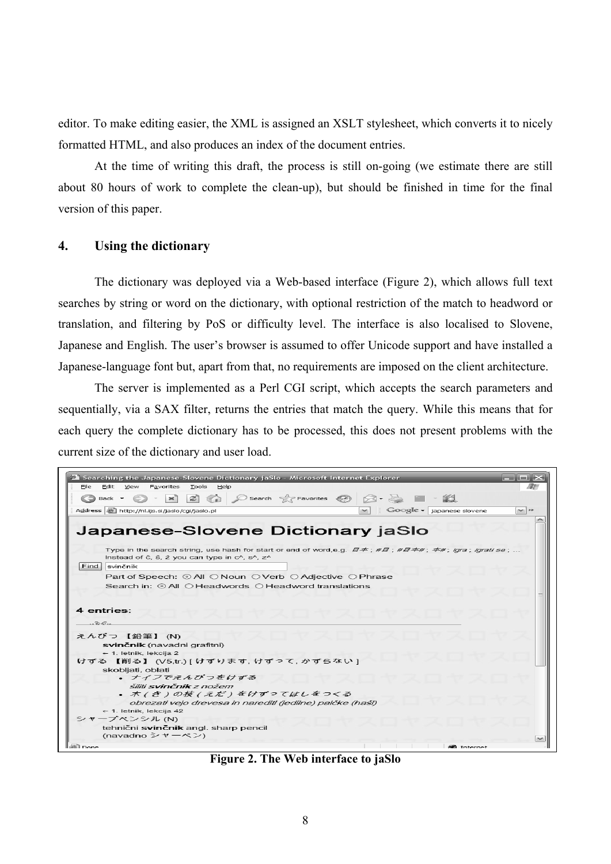editor. To make editing easier, the XML is assigned an XSLT stylesheet, which converts it to nicely formatted HTML, and also produces an index of the document entries.

At the time of writing this draft, the process is still on-going (we estimate there are still about 80 hours of work to complete the clean-up), but should be finished in time for the final version of this paper.

## **4. Using the dictionary**

The dictionary was deployed via a Web-based interface (Figure 2), which allows full text searches by string or word on the dictionary, with optional restriction of the match to headword or translation, and filtering by PoS or difficulty level. The interface is also localised to Slovene, Japanese and English. The user's browser is assumed to offer Unicode support and have installed a Japanese-language font but, apart from that, no requirements are imposed on the client architecture.

The server is implemented as a Perl CGI script, which accepts the search parameters and sequentially, via a SAX filter, returns the entries that match the query. While this means that for each query the complete dictionary has to be processed, this does not present problems with the current size of the dictionary and user load.

| <sup>2</sup> Searching the Japanese-Slovene Dictionary jaSlo - Microsoft Internet Explorer                                                                                                                                                                                                                                                   | $-$ 0 $\times$                                                                                                                                                                                                                                                                                          |
|----------------------------------------------------------------------------------------------------------------------------------------------------------------------------------------------------------------------------------------------------------------------------------------------------------------------------------------------|---------------------------------------------------------------------------------------------------------------------------------------------------------------------------------------------------------------------------------------------------------------------------------------------------------|
| File<br>Edit View Favorites Tools<br>Help                                                                                                                                                                                                                                                                                                    |                                                                                                                                                                                                                                                                                                         |
| 36 <br>$\bigcirc$ Back $\tau$                                                                                                                                                                                                                                                                                                                | $\left \frac{1}{2}\right $ $\left \left \right\rangle$ $\right $ $\left \left \right\rangle$ Search $\left \left \right\rangle \right $ Favorites $\left \left \right\rangle \right $ $\left \left \right\rangle \right $ $\left \left \right\rangle \right $ $\left \left \left \right\rangle \right $ |
| Address     http://nl.ijs.si/jaslo/cgi/jaslo.pl                                                                                                                                                                                                                                                                                              | $\bigcirc$ Google $\bullet$ japanese slovene<br>$\vee$ $\rightarrow$<br>$\sim$ 1                                                                                                                                                                                                                        |
| Japanese-Slovene Dictionary jaSlo                                                                                                                                                                                                                                                                                                            |                                                                                                                                                                                                                                                                                                         |
| Type in the search string, use hash for start or end of word, e.g. $\vec{H} \vec{F}$ ; $\# \vec{H} = \frac{\vec{F}}{\vec{F}}$ ; $\vec{F}$ ; $\vec{F}$ ; $\vec{F}$ ; $\vec{F}$ ; $\vec{F}$ ; $\vec{F}$ ; $\vec{F}$ ; $\vec{F}$ ; $\vec{F}$ ; $\vec{F}$ ; $\vec{F}$ ; $\vec{F}$ ; $\vec{F}$ ;<br>Instead of č, š, ž you can type in c^, s^, z^ |                                                                                                                                                                                                                                                                                                         |
| Find  <br>svinčnik                                                                                                                                                                                                                                                                                                                           |                                                                                                                                                                                                                                                                                                         |
| Part of Speech: ⓒ All ◯ Noun ◯ Verb ◯ Adjective ◯ Phrase                                                                                                                                                                                                                                                                                     |                                                                                                                                                                                                                                                                                                         |
| Search in: $\odot$ All $\odot$ Headwords $\odot$ Headword translations                                                                                                                                                                                                                                                                       |                                                                                                                                                                                                                                                                                                         |
| 4 entries:<br>$-56.$                                                                                                                                                                                                                                                                                                                         |                                                                                                                                                                                                                                                                                                         |
| えんぴつ 【鉛筆】 (N)                                                                                                                                                                                                                                                                                                                                |                                                                                                                                                                                                                                                                                                         |
| svinčnik (navadni grafitni)                                                                                                                                                                                                                                                                                                                  |                                                                                                                                                                                                                                                                                                         |
| $\leftarrow$ 1. letnik, lekcija 2                                                                                                                                                                                                                                                                                                            |                                                                                                                                                                                                                                                                                                         |
| けずる 【削る】 (V5.tr.) [ けずります, けずって, かずらない ]                                                                                                                                                                                                                                                                                                     |                                                                                                                                                                                                                                                                                                         |
| skobljati, oblati<br>• ナイフでえんぴつをけずる                                                                                                                                                                                                                                                                                                          |                                                                                                                                                                                                                                                                                                         |
| šiliti svinčnik z nožem                                                                                                                                                                                                                                                                                                                      |                                                                                                                                                                                                                                                                                                         |
| • 木(き)の枝(えだ)をけずってはしをつくる                                                                                                                                                                                                                                                                                                                      |                                                                                                                                                                                                                                                                                                         |
| obrezati vejo drevesa in narediti (jedilne) palčke (haši)                                                                                                                                                                                                                                                                                    |                                                                                                                                                                                                                                                                                                         |
| $\leftarrow$ 1. letnik, lekcija 42                                                                                                                                                                                                                                                                                                           |                                                                                                                                                                                                                                                                                                         |
| シャープペンシル (N)                                                                                                                                                                                                                                                                                                                                 |                                                                                                                                                                                                                                                                                                         |
| tehnični svinčnik angl. sharp pencil<br>(navadno シャーペン)                                                                                                                                                                                                                                                                                      |                                                                                                                                                                                                                                                                                                         |
| 图 Done                                                                                                                                                                                                                                                                                                                                       | 60 Internet                                                                                                                                                                                                                                                                                             |

**Figure 2. The Web interface to jaSlo**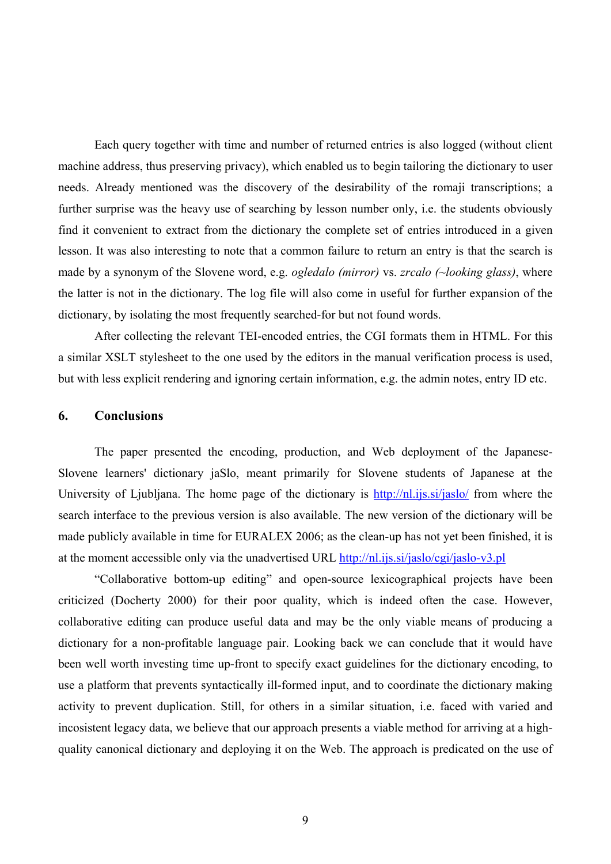Each query together with time and number of returned entries is also logged (without client machine address, thus preserving privacy), which enabled us to begin tailoring the dictionary to user needs. Already mentioned was the discovery of the desirability of the romaji transcriptions; a further surprise was the heavy use of searching by lesson number only, i.e. the students obviously find it convenient to extract from the dictionary the complete set of entries introduced in a given lesson. It was also interesting to note that a common failure to return an entry is that the search is made by a synonym of the Slovene word, e.g. *ogledalo (mirror)* vs. *zrcalo (~looking glass)*, where the latter is not in the dictionary. The log file will also come in useful for further expansion of the dictionary, by isolating the most frequently searched-for but not found words.

After collecting the relevant TEI-encoded entries, the CGI formats them in HTML. For this a similar XSLT stylesheet to the one used by the editors in the manual verification process is used, but with less explicit rendering and ignoring certain information, e.g. the admin notes, entry ID etc.

### **6. Conclusions**

The paper presented the encoding, production, and Web deployment of the Japanese-Slovene learners' dictionary jaSlo, meant primarily for Slovene students of Japanese at the University of Ljubljana. The home page of the dictionary is http://nl.ijs.si/jaslo/ from where the search interface to the previous version is also available. The new version of the dictionary will be made publicly available in time for EURALEX 2006; as the clean-up has not yet been finished, it is at the moment accessible only via the unadvertised URL http://nl.ijs.si/jaslo/cgi/jaslo-v3.pl

"Collaborative bottom-up editing" and open-source lexicographical projects have been criticized (Docherty 2000) for their poor quality, which is indeed often the case. However, collaborative editing can produce useful data and may be the only viable means of producing a dictionary for a non-profitable language pair. Looking back we can conclude that it would have been well worth investing time up-front to specify exact guidelines for the dictionary encoding, to use a platform that prevents syntactically ill-formed input, and to coordinate the dictionary making activity to prevent duplication. Still, for others in a similar situation, i.e. faced with varied and incosistent legacy data, we believe that our approach presents a viable method for arriving at a highquality canonical dictionary and deploying it on the Web. The approach is predicated on the use of